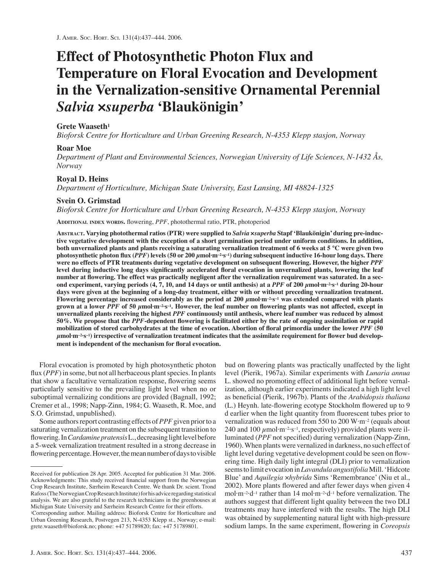# **Effect of Photosynthetic Photon Flux and Temperature on Floral Evocation and Development in the Vernalization-sensitive Ornamental Perennial**  *Salvia* **×***superba* **'Blaukönigin'**

# **Grete Waaseth1**

*Bioforsk Centre for Horticulture and Urban Greening Research, N-4353 Klepp stasjon, Norway*

# **Roar Moe**

*Department of Plant and Environmental Sciences, Norwegian University of Life Sciences, N-1432 Ås, Norway*

# **Royal D. Heins**

*Department of Horticulture, Michigan State University, East Lansing, MI 48824-1325*

# **Svein O. Grimstad**

*Bioforsk Centre for Horticulture and Urban Greening Research, N-4353 Klepp stasjon, Norway*

ADDITIONAL INDEX WORDS. flowering, PPF, photothermal ratio, PTR, photoperiod

**ABSTRACT. Varying photothermal ratios (PTR) were supplied to** *Salvia* **×***superba* **Stapf 'Blaukönigin' during pre-inductive vegetative development with the exception of a short germination period under uniform conditions. In addition, both unvernalized plants and plants receiving a saturating vernalization treatment of 6 weeks at 5 °C were given two photosynthetic photon fl ux (***PPF***) levels (50 or 200** *μ***mol·m–2·s–1) during subsequent inductive 16-hour long days. There**  were no effects of PTR treatments during vegetative development on subsequent flowering. However, the higher *PPF* level during inductive long days significantly accelerated floral evocation in unvernalized plants, lowering the leaf number at flowering. The effect was practically negligent after the vernalization requirement was saturated. In a sec**ond experiment, varying periods (4, 7, 10, and 14 days or until anthesis) at a** *PPF* **of 200** *μ***mol·m–2·s–1 during 20-hour days were given at the beginning of a long-day treatment, either with or without preceding vernalization treatment. Flowering percentage increased considerably as the period at 200** *μ***mol·m–2·s–1 was extended compared with plants**  grown at a lower *PPF* of 50  $\mu$ mol·m<sup>-2·s-1</sup>. However, the leaf number on flowering plants was not affected, except in **unvernalized plants receiving the highest** *PPF* **continuously until anthesis, where leaf number was reduced by almost**  50%. We propose that the *PPF*-dependent flowering is facilitated either by the rate of ongoing assimilation or rapid mobilization of stored carbohydrates at the time of evocation. Abortion of floral primordia under the lower *PPF* (50 μmol·m<sup>-2·s-1</sup>) irrespective of vernalization treatment indicates that the assimilate requirement for flower bud development is independent of the mechanism for floral evocation.

Floral evocation is promoted by high photosynthetic photon flux (*PPF*) in some, but not all herbaceous plant species. In plants that show a facultative vernalization response, flowering seems particularly sensitive to the prevailing light level when no or suboptimal vernalizing conditions are provided (Bagnall, 1992; Cremer et al., 1998; Napp-Zinn, 1984; G. Waaseth, R. Moe, and S.O. Grimstad, unpublished).

Some authors report contrasting effects of *PPF* given prior to a saturating vernalization treatment on the subsequent transition to flowering. In *Cardamine pratensis* L., decreasing light level before a 5-week vernalization treatment resulted in a strong decrease in flowering percentage. However, the mean number of days to visible

bud on flowering plants was practically unaffected by the light level (Pierik, 1967a). Similar experiments with *Lunaria annua* L. showed no promoting effect of additional light before vernalization, although earlier experiments indicated a high light level as beneficial (Pierik, 1967b). Plants of the *Arabidopsis thaliana* (L.) Heynh. late-flowering ecotype Stockholm flowered up to 9 d earlier when the light quantity from fluorescent tubes prior to vernalization was reduced from 550 to 200 W·m–2 (equals about 240 and 100  $\mu$ mol·m<sup>-2</sup>·s<sup>-1</sup>, respectively) provided plants were illuminated (*PPF* not specified) during vernalization (Napp-Zinn, 1960). When plants were vernalized in darkness, no such effect of light level during vegetative development could be seen on flowering time. High daily light integral (DLI) prior to vernalization seems to limit evocation in *Lavandula angustifolia* Mill. 'Hidcote Blue' and *Aquilegia* ×*hybrida* Sims 'Remembrance' (Niu et al., 2002). More plants flowered and after fewer days when given 4 mol·m–2·d–1 rather than 14 mol·m–2·d–1 before vernalization. The authors suggest that different light quality between the two DLI treatments may have interfered with the results. The high DLI was obtained by supplementing natural light with high-pressure sodium lamps. In the same experiment, flowering in *Coreopsis* 

Received for publication 28 Apr. 2005. Accepted for publication 31 Mar. 2006. Acknowledgments: This study received financial support from the Norwegian Crop Research Institute, Særheim Research Centre. We thank Dr. scient. Trond Rafoss (The Norwegian Crop Research Institute) for his advice regarding statistical analysis. We are also grateful to the research technicians in the greenhouses at Michigan State University and Særheim Research Centre for their efforts. 1Corresponding author. Mailing address: Bioforsk Centre for Horticulture and Urban Greening Research, Postvegen 213, N-4353 Klepp st., Norway; e-mail: grete.waaseth@bioforsk.no; phone: +47 51789820; fax: +47 51789801.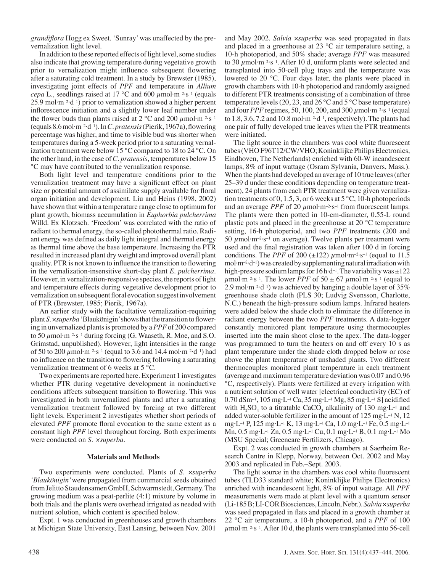*grandifl ora* Hogg ex Sweet. 'Sunray' was unaffected by the prevernalization light level.

In addition to these reported effects of light level, some studies also indicate that growing temperature during vegetative growth prior to vernalization might influence subsequent flowering after a saturating cold treatment. In a study by Brewster (1985), investigating joint effects of *PPF* and temperature in *Allium cepa* L., seedlings raised at 17 °C and 600 *μ*mol·m–2·s–1 (equals  $25.9$  mol·m<sup>-2·</sup>d<sup>-1</sup>) prior to vernalization showed a higher percent inflorescence initiation and a slightly lower leaf number under the flower buds than plants raised at  $2^{\circ}$ C and  $200 \mu$ mol·m<sup>-2</sup>·s<sup>-1</sup> (equals 8.6 mol·m<sup>-2</sup>·d<sup>-1</sup>). In *C. pratensis* (Pierik, 1967a), flowering percentage was higher, and time to visible bud was shorter when temperatures during a 5-week period prior to a saturating vernalization treatment were below 15 °C compared to 18 to 24 °C. On the other hand, in the case of *C. pratensis*, temperatures below 15 °C may have contributed to the vernalization response.

Both light level and temperature conditions prior to the vernalization treatment may have a significant effect on plant size or potential amount of assimilate supply available for floral organ initiation and development. Liu and Heins (1998, 2002) have shown that within a temperature range close to optimum for plant growth, biomass accumulation in *Euphorbia pulcherrima*  Willd. Ex Klotzsch. 'Freedom' was correlated with the ratio of radiant to thermal energy, the so-called photothermal ratio. Radiant energy was defined as daily light integral and thermal energy as thermal time above the base temperature. Increasing the PTR resulted in increased plant dry weight and improved overall plant quality. PTR is not known to influence the transition to flowering in the vernalization-insensitive short-day plant *E. pulcherrima*. However, in vernalization-responsive species, the reports of light and temperature effects during vegetative development prior to vernalization on subsequent floral evocation suggest involvement of PTR (Brewster, 1985; Pierik, 1967a).

An earlier study with the facultative vernalization-requiring plant *S. × superba* 'Blaukönigin' shows that the transition to flowering in unvernalized plants is promoted by a *PPF* of 200 compared to 50 *μ*mol·m–2·s–1 during forcing (G. Waaseth, R. Moe, and S.O. Grimstad, unpublished). However, light intensities in the range of 50 to 200 *μ*mol·m–2·s–1 (equal to 3.6 and 14.4 mol·m–2·d–1) had no influence on the transition to flowering following a saturating vernalization treatment of 6 weeks at 5 °C.

Two experiments are reported here. Experiment 1 investigates whether PTR during vegetative development in noninductive conditions affects subsequent transition to flowering. This was investigated in both unvernalized plants and after a saturating vernalization treatment followed by forcing at two different light levels. Experiment 2 investigates whether short periods of elevated *PPF* promote floral evocation to the same extent as a constant high *PPF* level throughout forcing. Both experiments were conducted on *S. ×superba.*

#### **Materials and Methods**

Two experiments were conducted. Plants of *S.* ×*superba 'Blaukönigin'* were propagated from commercial seeds obtained from Jelitto Staudensamen GmbH, Schwarmstedt, Germany. The growing medium was a peat-perlite (4:1) mixture by volume in both trials and the plants were overhead irrigated as needed with nutrient solution, which content is specified below.

Expt. 1 was conducted in greenhouses and growth chambers at Michigan State University, East Lansing, between Nov. 2001 and May 2002. *Salvia ×superba* was seed propagated in flats and placed in a greenhouse at 23 °C air temperature setting, a 10-h photoperiod, and 50% shade; average *PPF* was measured to 30 *μ*mol·m–2·s–1. After 10 d, uniform plants were selected and transplanted into 50-cell plug trays and the temperature was lowered to 20 °C. Four days later, the plants were placed in growth chambers with 10-h photoperiod and randomly assigned to different PTR treatments consisting of a combination of three temperature levels (20, 23, and 26  $^{\circ}$ C and 5  $^{\circ}$ C base temperature) and four *PPF* regimes, 50, 100, 200, and 300 *μ*mol·m–2·s–1 (equal to 1.8, 3.6, 7.2 and 10.8 mol $\cdot$ m $\cdot$ <sup>2</sup> $\cdot$ d<sup>-1</sup>, respectively). The plants had one pair of fully developed true leaves when the PTR treatments were initiated.

The light source in the chambers was cool white fluorescent tubes (VHO F96T12/CW/VHO; Koninklijke Philips Electronics, Eindhoven, The Netherlands) enriched with 60-W incandescent lamps, 8% of input wattage (Osram Sylvania, Danvers, Mass.). When the plants had developed an average of 10 true leaves (after 25–39 d under these conditions depending on temperature treatment), 24 plants from each PTR treatment were given vernalization treatments of 0, 1.5, 3, or 6 weeks at  $5^{\circ}$ C, 10-h photoperiods and an average *PPF* of 20  $\mu$ mol·m<sup>-2</sup>·s<sup>-1</sup> from fluorescent lamps. The plants were then potted in 10-cm-diameter, 0.55-L round plastic pots and placed in the greenhouse at 20 °C temperature setting, 16-h photoperiod, and two *PPF* treatments (200 and  $50 \mu$ mol·m<sup>-2</sup>·s<sup>-1</sup> on average). Twelve plants per treatment were used and the final registration was taken after 100 d in forcing conditions. The *PPF* of 200 ( $\pm$ 122)  $\mu$ mol·m<sup>-2</sup>·s<sup>-1</sup> (equal to 11.5) mol $\cdot$ m<sup>-2</sup> $\cdot$ d<sup>-1</sup>) was created by supplementing natural irradiation with high-pressure sodium lamps for  $16 h \cdot d^{-1}$ . The variability was  $\pm 122$  $\mu$ mol·m<sup>-2</sup>·s<sup>-1</sup>. The lower *PPF* of 50  $\pm$  67  $\mu$ mol·m<sup>-2</sup>·s<sup>-1</sup> (equal to 2.9 mol·m<sup>-2</sup>·d<sup>-1</sup>) was achieved by hanging a double layer of  $35\%$ greenhouse shade cloth (PLS 30; Ludvig Svensson, Charlotte, N.C.) beneath the high-pressure sodium lamps. Infrared heaters were added below the shade cloth to eliminate the difference in radiant energy between the two *PPF* treatments. A data-logger constantly monitored plant temperature using thermocouples inserted into the main shoot close to the apex. The data-logger was programmed to turn the heaters on and off every 10 s as plant temperature under the shade cloth dropped below or rose above the plant temperature of unshaded plants. Two different thermocouples monitored plant temperature in each treatment (average and maximum temperature deviation was 0.07 and 0.96 °C, respectively). Plants were fertilized at every irrigation with a nutrient solution of well water [electrical conductivity (EC) of 0.70 dSm<sup>-1</sup>, 105 mg·L<sup>-1</sup> Ca, 35 mg·L<sup>-1</sup> Mg, 85 mg·L<sup>-1</sup> S] acidified with  $H_2SO_4$  to a titratable CaCO<sub>3</sub> alkalinity of 130 mg·L<sup>-1</sup> and added water-soluble fertilizer in the amount of  $125 \text{ mg} \cdot \text{L}^{-1} \text{ N}$ ,  $12$ mg·L–1 P, 125 mg·L–1 K, 13 mg·L–1 Ca, 1.0 mg·L–1 Fe, 0.5 mg·L–1 Mn, 0.5 mg·L–1 Zn, 0.5 mg·L–1 Cu, 0.1 mg·L–1 B, 0.1 mg·L–1 Mo (MSU Special; Greencare Fertilizers, Chicago).

Expt. 2 was conducted in growth chambers at Saerheim Research Centre in Klepp, Norway, between Oct. 2002 and May 2003 and replicated in Feb.–Sept. 2003.

The light source in the chambers was cool white fluorescent tubes (TLD33 standard white; Koninklijke Philips Electronics) enriched with incandescent light, 8% of input wattage. All *PPF* measurements were made at plant level with a quantum sensor (Li-185 B; LI-COR Biosciences, Lincoln, Nebr.). *Salvia* ×*superba* was seed propagated in flats and placed in a growth chamber at 22 °C air temperature, a 10-h photoperiod, and a *PPF* of 100  $\mu$ mol·m<sup>-2</sup>·s<sup>-1</sup>. After 10 d, the plants were transplanted into 56-cell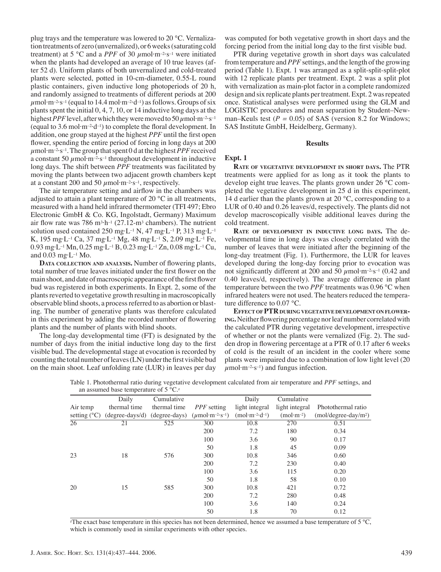plug trays and the temperature was lowered to 20 °C. Vernalization treatments of zero (unvernalized), or 6 weeks (saturating cold treatment) at 5 °C and a *PPF* of 30  $\mu$ mol·m<sup>-2</sup>·s<sup>-1</sup> were initiated when the plants had developed an average of 10 true leaves (after 52 d). Uniform plants of both unvernalized and cold-treated plants were selected, potted in 10-cm-diameter, 0.55-L round plastic containers, given inductive long photoperiods of 20 h, and randomly assigned to treatments of different periods at 200  $\mu$ mol·m<sup>-2</sup>·s<sup>-1</sup> (equal to 14.4 mol·m<sup>-2</sup>·d<sup>-1</sup>) as follows. Groups of six plants spent the initial 0, 4, 7, 10, or 14 inductive long days at the highest *PPF* level, after which they were moved to 50 *μ*mol·m–2·s–1 (equal to 3.6 mol $\cdot$ m<sup>-2</sup> $\cdot$ d<sup>-1</sup>) to complete the floral development. In addition, one group stayed at the highest *PPF* until the first open flower, spending the entire period of forcing in long days at 200  $\mu$ mol·m<sup>-2</sup>·s<sup>-1</sup>. The group that spent 0 d at the highest *PPF* received a constant 50  $\mu$ mol·m<sup>-2</sup>·s<sup>-1</sup> throughout development in inductive long days. The shift between *PPF* treatments was facilitated by moving the plants between two adjacent growth chambers kept at a constant 200 and 50  $\mu$ mol·m<sup>-2</sup>·s<sup>-1</sup>, respectively.

The air temperature setting and airflow in the chambers was adjusted to attain a plant temperature of 20 °C in all treatments, measured with a hand held infrared thermometer (TFI 497; Ebro Electronic GmbH & Co. KG, Ingolstadt, Germany) Maximum air flow rate was 786 m<sup>3</sup>·h<sup>-1</sup> (27.12-m<sup>3</sup> chambers). The nutrient solution used contained 250 mg·L<sup>-1</sup> N, 47 mg·L<sup>-1</sup> P, 313 mg·L<sup>-1</sup> K, 195 mg·L–1 Ca, 37 mg·L–1 Mg, 48 mg·L–1 S, 2.09 mg·L–1 Fe, 0.93 mg·L–1 Mn, 0.25 mg·L–1 B, 0.23 mg·L–1 Zn, 0.08 mg·L–1 Cu, and  $0.03$  mg·L<sup>-1</sup> Mo.

**DATA** COLLECTION AND ANALYSIS. Number of flowering plants, total number of true leaves initiated under the first flower on the main shoot, and date of macroscopic appearance of the first flower bud was registered in both experiments. In Expt. 2, some of the plants reverted to vegetative growth resulting in macroscopically observable blind shoots, a process referred to as abortion or blasting. The number of generative plants was therefore calculated in this experiment by adding the recorded number of flowering plants and the number of plants with blind shoots.

The long-day developmental time (FT) is designated by the number of days from the initial inductive long day to the first visible bud. The developmental stage at evocation is recorded by counting the total number of leaves  $(LN)$  under the first visible bud on the main shoot. Leaf unfolding rate (LUR) in leaves per day

was computed for both vegetative growth in short days and the forcing period from the initial long day to the first visible bud.

PTR during vegetative growth in short days was calculated from temperature and *PPF* settings, and the length of the growing period (Table 1). Expt. 1 was arranged as a split-split-split-plot with 12 replicate plants per treatment. Expt. 2 was a split plot with vernalization as main-plot factor in a complete randomized design and six replicate plants per treatment. Expt. 2 was repeated once. Statistical analyses were performed using the GLM and LOGISTIC procedures and mean separation by Student–Newman–Keuls test  $(P = 0.05)$  of SAS (version 8.2 for Windows; SAS Institute GmbH, Heidelberg, Germany).

#### **Results**

### **Expt. 1**

**RATE OF VEGETATIVE DEVELOPMENT IN SHORT DAYS.** The PTR treatments were applied for as long as it took the plants to develop eight true leaves. The plants grown under 26 °C completed the vegetative development in 25 d in this experiment, 14 d earlier than the plants grown at 20  $\degree$ C, corresponding to a LUR of 0.40 and 0.26 leaves/d, respectively. The plants did not develop macroscopically visible additional leaves during the cold treatment.

**RATE OF DEVELOPMENT IN INDUCTIVE LONG DAYS.** The developmental time in long days was closely correlated with the number of leaves that were initiated after the beginning of the long-day treatment (Fig. 1). Furthermore, the LUR for leaves developed during the long-day forcing prior to evocation was not significantly different at 200 and 50 *μ*mol·m<sup>-2</sup>·s<sup>-1</sup> (0.42 and 0.40 leaves/d, respectively). The average difference in plant temperature between the two *PPF* treatments was 0.96 °C when infrared heaters were not used. The heaters reduced the temperature difference to 0.07 °C.

**EFFECT OF PTR DURING VEGETATIVE DEVELOPMENT ON FLOWER-ING.** Neither flowering percentage nor leaf number correlated with the calculated PTR during vegetative development, irrespective of whether or not the plants were vernalized (Fig. 2). The sudden drop in flowering percentage at a PTR of 0.17 after 6 weeks of cold is the result of an incident in the cooler where some plants were impaired due to a combination of low light level (20  $\mu$ mol·m<sup>-2</sup>·s<sup>-1</sup>) and fungus infection.

|                       | Daily                             | Cumulative   |                                                        | Daily           | Cumulative     |                       |
|-----------------------|-----------------------------------|--------------|--------------------------------------------------------|-----------------|----------------|-----------------------|
| Air temp              | thermal time                      | thermal time | <i>PPF</i> setting                                     | light integral  | light integral | Photothermal ratio    |
| setting $(^{\circ}C)$ | $(degree-days/d)$ $(degree-days)$ |              | $(\mu \text{mol}\cdot\text{m}^{-2}\cdot\text{s}^{-1})$ | $(mol·m-2·d-1)$ | $(mol·m-2)$    | $(mol/degree-day/m2)$ |
| 26                    | 21                                | 525          | 300                                                    | 10.8            | 270            | 0.51                  |
|                       |                                   |              | 200                                                    | 7.2             | 180            | 0.34                  |
|                       |                                   |              | 100                                                    | 3.6             | 90             | 0.17                  |
|                       |                                   |              | 50                                                     | 1.8             | 45             | 0.09                  |
| 23                    | 18                                | 576          | 300                                                    | 10.8            | 346            | 0.60                  |
|                       |                                   |              | 200                                                    | 7.2             | 230            | 0.40                  |
|                       |                                   |              | 100                                                    | 3.6             | 115            | 0.20                  |
|                       |                                   |              | 50                                                     | 1.8             | 58             | 0.10                  |
| 20                    | 15                                | 585          | 300                                                    | 10.8            | 421            | 0.72                  |
|                       |                                   |              | 200                                                    | 7.2             | 280            | 0.48                  |
|                       |                                   |              | 100                                                    | 3.6             | 140            | 0.24                  |
|                       |                                   |              | 50                                                     | 1.8             | 70             | 0.12                  |

Table 1. Photothermal ratio during vegetative development calculated from air temperature and *PPF* settings, and an assumed base temperature of  $5^{\circ}C_{\cdot}^2$ 

 $z$ The exact base temperature in this species has not been determined, hence we assumed a base temperature of 5 °C, which is commonly used in similar experiments with other species.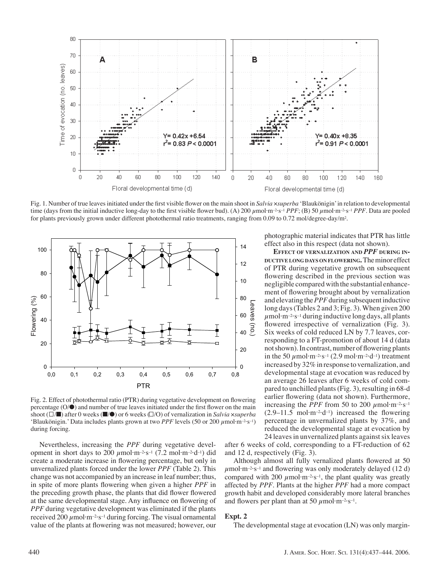

Fig. 1. Number of true leaves initiated under the first visible flower on the main shoot in *Salvia ×superba* 'Blaukönigin' in relation to developmental time (days from the initial inductive long-day to the first visible flower bud). (A) 200 *μ*mol·m<sup>-2</sup>·s<sup>-1</sup> *PPF*; (B) 50 *μ*mol·m<sup>-2</sup>·s<sup>-1</sup> *PPF*. Data are pooled for plants previously grown under different photothermal ratio treatments, ranging from 0.09 to 0.72 mol/degree-day/m2.



Fig. 2. Effect of photothermal ratio (PTR) during vegetative development on flowering percentage  $(O/\bullet)$  and number of true leaves initiated under the first flower on the main shoot ( $\Box$ **/■**) after 0 weeks (■/●) or 6 weeks  $\Box$ /O) of vernalization in *Salvia* ×*superba* 'Blaukönigin.' Data includes plants grown at two *PPF* levels (50 or 200 *μ*mol·m–2·s–1) during forcing.

Nevertheless, increasing the *PPF* during vegetative development in short days to 200  $\mu$ mol·m<sup>-2</sup>·s<sup>-1</sup> (7.2 mol·m<sup>-2</sup>·d<sup>-1</sup>) did create a moderate increase in flowering percentage, but only in unvernalized plants forced under the lower *PPF* (Table 2). This change was not accompanied by an increase in leaf number; thus, in spite of more plants flowering when given a higher *PPF* in the preceding growth phase, the plants that did flower flowered at the same developmental stage. Any influence on flowering of *PPF* during vegetative development was eliminated if the plants received 200  $\mu$ mol·m<sup>-2</sup>·s<sup>-1</sup> during forcing. The visual ornamental value of the plants at flowering was not measured; however, our

photographic material indicates that PTR has little effect also in this respect (data not shown).

**EFFECT OF VERNALIZATION AND** *PPF* **DURING IN-DUCTIVE LONG DAYS ON FLOWERING.**The minor effect of PTR during vegetative growth on subsequent flowering described in the previous section was negligible compared with the substantial enhancement of flowering brought about by vernalization and elevating the *PPF* during subsequent inductive long days (Tables 2 and 3; Fig. 3). When given 200  $\mu$ mol·m<sup>-2</sup>·s<sup>-1</sup> during inductive long days, all plants flowered irrespective of vernalization (Fig. 3). Six weeks of cold reduced LN by 7.7 leaves, corresponding to a FT-promotion of about 14 d (data not shown). In contrast, number of flowering plants in the 50  $\mu$ mol·m<sup>-2</sup>·s<sup>-1</sup> (2.9 mol·m<sup>-2</sup>·d<sup>-1</sup>) treatment increased by 32% in response to vernalization, and developmental stage at evocation was reduced by an average 26 leaves after 6 weeks of cold compared to unchilled plants (Fig. 3), resulting in 68-d earlier flowering (data not shown). Furthermore, increasing the *PPF* from 50 to 200  $\mu$ mol·m<sup>-2</sup>·s<sup>-1</sup>  $(2.9-11.5 \text{ mol} \cdot \text{m}^{-2} \cdot \text{d}^{-1})$  increased the flowering percentage in unvernalized plants by 37%, and reduced the developmental stage at evocation by 24 leaves in unvernalized plants against six leaves

after 6 weeks of cold, corresponding to a FT-reduction of 62 and 12 d, respectively (Fig. 3).

Although almost all fully vernalized plants flowered at 50  $\mu$ mol·m<sup>-2</sup>·s<sup>-1</sup> and flowering was only moderately delayed (12 d) compared with 200  $\mu$ mol·m<sup>-2</sup>·s<sup>-1</sup>, the plant quality was greatly affected by *PPF*. Plants at the higher *PPF* had a more compact growth habit and developed considerably more lateral branches and flowers per plant than at 50  $\mu$ mol·m<sup>-2</sup>·s<sup>-1</sup>.

# **Expt. 2**

The developmental stage at evocation (LN) was only margin-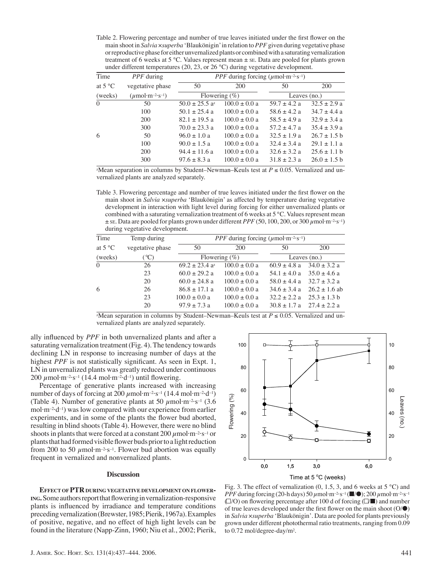Table 2. Flowering percentage and number of true leaves initiated under the first flower on the main shoot in *Salvia* ×*superba* 'Blaukönigin' in relation to *PPF* given during vegetative phase or reproductive phase for either unvernalized plants or combined with a saturating vernalization treatment of 6 weeks at 5 °C. Values represent mean ± SE. Data are pooled for plants grown under different temperatures (20, 23, or 26 °C) during vegetative development.

| Time             | <i>PPF</i> during                                      | <i>PPF</i> during forcing ( $\mu$ mol·m <sup>-2</sup> ·s <sup>-1</sup> ) |                   |                  |                  |
|------------------|--------------------------------------------------------|--------------------------------------------------------------------------|-------------------|------------------|------------------|
| at $5^{\circ}$ C | vegetative phase                                       | 50                                                                       | 200               | 50               | 200              |
| (weeks)          | $(\mu \text{mol}\cdot\text{m}^{-2}\cdot\text{s}^{-1})$ | Flowering $(\%)$                                                         |                   | Leaves $(no.)$   |                  |
| $\Omega$         | 50                                                     | $50.0 \pm 25.5$ a <sup>z</sup>                                           | $100.0 \pm 0.0 a$ | $59.7 \pm 4.2$ a | $32.5 \pm 2.9$ a |
|                  | 100                                                    | $50.1 \pm 25.4$ a                                                        | $100.0 \pm 0.0$ a | $58.6 \pm 4.2$ a | $34.7 \pm 4.4$ a |
|                  | 200                                                    | $82.1 \pm 19.5$ a                                                        | $100.0 \pm 0.0 a$ | $58.5 \pm 4.9$ a | $32.9 \pm 3.4$ a |
|                  | 300                                                    | $70.0 \pm 23.3$ a                                                        | $100.0 \pm 0.0 a$ | $57.2 \pm 4.7$ a | $35.4 \pm 3.9$ a |
| 6                | 50                                                     | $96.0 \pm 1.0 a$                                                         | $100.0 \pm 0.0 a$ | $32.5 \pm 1.9$ a | $26.7 \pm 1.5$ b |
|                  | 100                                                    | $90.0 \pm 1.5$ a                                                         | $100.0 \pm 0.0 a$ | $32.4 \pm 3.4 a$ | $29.1 + 1.1$ a   |
|                  | 200                                                    | $94.4 \pm 11.6$ a                                                        | $100.0 \pm 0.0 a$ | $32.6 \pm 3.2 a$ | $25.6 \pm 1.1$ b |
|                  | 300                                                    | $97.6 \pm 8.3$ a                                                         | $100.0 \pm 0.0$ a | $31.8 \pm 2.3$ a | $26.0 \pm 1.5 b$ |
|                  |                                                        |                                                                          |                   |                  |                  |

 $\frac{1}{2}$ Mean separation in columns by Student–Newman–Keuls test at  $P \le 0.05$ . Vernalized and unvernalized plants are analyzed separately.

Table 3. Flowering percentage and number of true leaves initiated under the first flower on the main shoot in *Salvia* ×*superba* 'Blaukönigin' as affected by temperature during vegetative development in interaction with light level during forcing for either unvernalized plants or combined with a saturating vernalization treatment of 6 weeks at  $5^{\circ}$ C. Values represent mean ± SE. Data are pooled for plants grown under different *PPF* (50, 100, 200, or 300 *μ*mol·m–2·s–1) during vegetative development.

| Time     | Temp during      | <i>PPF</i> during forcing ( $\mu$ mol·m <sup>-2</sup> ·s <sup>-1</sup> ) |                   |                  |                   |  |
|----------|------------------|--------------------------------------------------------------------------|-------------------|------------------|-------------------|--|
|          |                  |                                                                          |                   |                  |                   |  |
| at 5 °C  | vegetative phase | 50                                                                       | 200               | 50               | 200               |  |
| (weeks)  | $(^{\circ}C)$    | Flowering $(\%)$                                                         |                   | Leaves $(no.)$   |                   |  |
| $\Omega$ | 26               | $69.2 \pm 23.4$ a <sup>z</sup>                                           | $100.0 \pm 0.0 a$ | $60.9 \pm 4.8$ a | $34.0 \pm 3.2$ a  |  |
|          | 23               | $60.0 \pm 29.2$ a                                                        | $100.0 \pm 0.0$ a | $54.1 \pm 4.0$ a | $35.0 \pm 4.6$ a  |  |
|          | 20               | $60.0 \pm 24.8$ a                                                        | $100.0 \pm 0.0 a$ | $58.0 \pm 4.4 a$ | $32.7 \pm 3.2$ a  |  |
| 6        | 26               | $86.8 \pm 17.1$ a                                                        | $100.0 \pm 0.0 a$ | $34.6 \pm 3.4 a$ | $26.2 \pm 1.6$ ab |  |
|          | 23               | $100.0 \pm 0.0 a$                                                        | $100.0 \pm 0.0 a$ | $32.2 \pm 2.2$ a | $25.3 \pm 1.3$ b  |  |
|          | 20               | $97.9 \pm 7.3$ a                                                         | $100.0 \pm 0.0 a$ | $30.8 \pm 1.7$ a | $27.4 \pm 2.2$ a  |  |
|          |                  |                                                                          |                   |                  |                   |  |

 $\alpha$ <sup>z</sup>Mean separation in columns by Student–Newman–Keuls test at  $P \le 0.05$ . Vernalized and unvernalized plants are analyzed separately.

ally influenced by PPF in both unvernalized plants and after a saturating vernalization treatment (Fig. 4). The tendency towards declining LN in response to increasing number of days at the highest *PPF* is not statistically significant. As seen in Expt. 1, LN in unvernalized plants was greatly reduced under continuous  $200 \mu$ mol·m<sup>-2</sup>·s<sup>-1</sup> (14.4 mol·m<sup>-2</sup>·d<sup>-1</sup>) until flowering.

Percentage of generative plants increased with increasing number of days of forcing at 200  $\mu$ mol·m<sup>-2</sup>·s<sup>-1</sup> (14.4 mol·m<sup>-2</sup>·d<sup>-1</sup>) (Table 4). Number of generative plants at 50  $\mu$ mol·m<sup>-2</sup>·s<sup>-1</sup> (3.6) mol·m–2·d–1) was low compared with our experience from earlier experiments, and in some of the plants the flower bud aborted, resulting in blind shoots (Table 4). However, there were no blind shoots in plants that were forced at a constant  $200 \mu$  mol $\cdot$ m<sup>-2</sup> $\cdot$ s<sup>-1</sup> or plants that had formed visible flower buds prior to a light reduction from 200 to 50  $\mu$ mol·m<sup>-2</sup>·s<sup>-1</sup>. Flower bud abortion was equally frequent in vernalized and nonvernalized plants.

#### **Discussion**

**EFFECT OF PTR DURING VEGETATIVE DEVELOPMENT ON FLOWER-ING.** Some authors report that flowering in vernalization-responsive plants is influenced by irradiance and temperature conditions preceding vernalization (Brewster, 1985; Pierik, 1967a). Examples of positive, negative, and no effect of high light levels can be found in the literature (Napp-Zinn, 1960; Niu et al., 2002; Pierik,



Fig. 3. The effect of vernalization  $(0, 1.5, 3,$  and 6 weeks at 5 °C) and *PPF* during forcing (20-h days) 50 *μ*mol·m–2·s–1 (■/●); 200 *μ*mol·m–2·s–1  $(\Box/O)$  on flowering percentage after 100 d of forcing  $(\Box/\Box)$  and number of true leaves developed under the first flower on the main shoot  $(O/\bullet)$ in *Salvia* ×*superba* 'Blaukönigin'. Data are pooled for plants previously grown under different photothermal ratio treatments, ranging from 0.09 to 0.72 mol/degree-day/m2.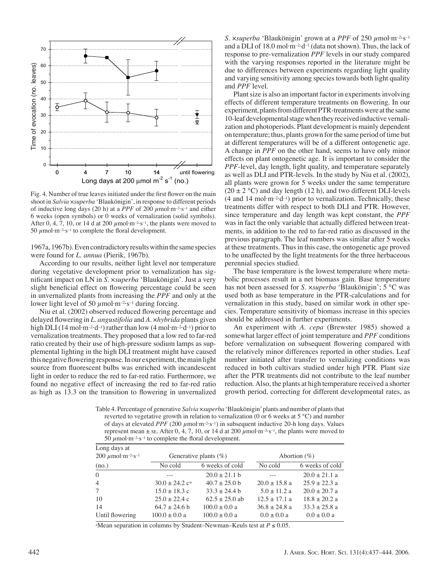

Fig. 4. Number of true leaves initiated under the first flower on the main shoot in *Salvia* ×*superba* 'Blaukönigin', in response to different periods of inductive long days (20 h) at a *PPF* of 200 *μ*mol·m–2·s–1 and either 6 weeks (open symbols) or 0 weeks of vernalization (solid symbols). After 0, 4, 7, 10, or 14 d at 200  $\mu$ mol·m<sup>-2·s-1</sup>, the plants were moved to 50  $\mu$ mol·m<sup>-2</sup>·s<sup>-1</sup> to complete the floral development.

1967a, 1967b). Even contradictory results within the same species were found for *L. annua* (Pierik, 1967b).

According to our results, neither light level nor temperature during vegetative development prior to vernalization has signifi cant impact on LN in *S*. ×*superba* 'Blaukönigin'. Just a very slight beneficial effect on flowering percentage could be seen in unvernalized plants from increasing the *PPF* and only at the lower light level of 50 *μ*mol·m<sup>-2</sup>·s<sup>-1</sup> during forcing.

Niu et al. (2002) observed reduced flowering percentage and delayed flowering in *L. angustifolia* and *A. ×hybrida* plants given high DLI (14 mol·m<sup>-2</sup>·d<sup>-1</sup>) rather than low (4 mol·m<sup>-2</sup>·d<sup>-1</sup>) prior to vernalization treatments. They proposed that a low red to far-red ratio created by their use of high-pressure sodium lamps as supplemental lighting in the high DLI treatment might have caused this negative flowering response. In our experiment, the main light source from fluorescent bulbs was enriched with incandescent light in order to reduce the red to far-red ratio. Furthermore, we found no negative effect of increasing the red to far-red ratio as high as 13.3 on the transition to flowering in unvernalized

*S.* ×*superba* 'Blaukönigin' grown at a *PPF* of 250 *μ*mol·m–2·s–1 and a DLI of 18.0 mol $\cdot$ m<sup>-2</sup> $\cdot$ d<sup>-1</sup> (data not shown). Thus, the lack of response to pre-vernalization *PPF* levels in our study compared with the varying responses reported in the literature might be due to differences between experiments regarding light quality and varying sensitivity among species towards both light quality and *PPF* level.

Plant size is also an important factor in experiments involving effects of different temperature treatments on flowering. In our experiment, plants from different PTR-treatments were at the same 10-leaf developmental stage when they received inductive vernalization and photoperiods. Plant development is mainly dependent on temperature; thus, plants grown for the same period of time but at different temperatures will be of a different ontogenetic age. A change in *PPF* on the other hand, seems to have only minor effects on plant ontogenetic age. It is important to consider the *PPF*-level, day length, light quality, and temperature separately as well as DLI and PTR-levels. In the study by Niu et al. (2002), all plants were grown for 5 weeks under the same temperature  $(20 \pm 2 \degree C)$  and day length (12 h), and two different DLI-levels  $(4 \text{ and } 14 \text{ mol} \cdot \text{m}^{-2} \cdot \text{d}^{-1})$  prior to vernalization. Technically, these treatments differ with respect to both DLI and PTR. However, since temperature and day length was kept constant, the *PPF* was in fact the only variable that actually differed between treatments, in addition to the red to far-red ratio as discussed in the previous paragraph. The leaf numbers was similar after 5 weeks at these treatments. Thus in this case, the ontogenetic age proved to be unaffected by the light treatments for the three herbaceous perennial species studied.

The base temperature is the lowest temperature where metabolic processes result in a net biomass gain. Base temperature has not been assessed for *S.* ×*superba* 'Blaukönigin'; 5 °C was used both as base temperature in the PTR-calculations and for vernalization in this study, based on similar work in other species. Temperature sensitivity of biomass increase in this species should be addressed in further experiments.

An experiment with *A. cepa* (Brewster 1985) showed a somewhat larger effect of joint temperature and *PPF* conditions before vernalization on subsequent flowering compared with the relatively minor differences reported in other studies. Leaf number initiated after transfer to vernalizing conditions was reduced in both cultivars studied under high PTR. Plant size after the PTR treatments did not contribute to the leaf number reduction. Also, the plants at high temperature received a shorter growth period, correcting for different developmental rates, as

Table 4*.* Percentage of generative *Salvia* ×*superba* 'Blaukönigin' plants and number of plants that reverted to vegetative growth in relation to vernalization (0 or 6 weeks at 5  $^{\circ}$ C) and number of days at elevated *PPF* (200  $\mu$ mol·m<sup>-2</sup>·s<sup>-1</sup>) in subsequent inductive 20-h long days. Values represent mean  $\pm$  se. After 0, 4, 7, 10, or 14 d at 200  $\mu$ mol·m<sup>-2</sup>·s<sup>-1</sup>, the plants were moved to 50  $\mu$ mol·m<sup>-2</sup>·s<sup>-1</sup> to complete the floral development.

| Long days at                                   |                                |                          |                   |                   |  |  |
|------------------------------------------------|--------------------------------|--------------------------|-------------------|-------------------|--|--|
| 200 $\mu$ mol·m <sup>-2</sup> ·s <sup>-1</sup> |                                | Generative plants $(\%)$ |                   | Abortion $(\%)$   |  |  |
| (no.)                                          | No cold                        | 6 weeks of cold          | No cold           | 6 weeks of cold   |  |  |
| $\theta$                                       |                                | $20.0 \pm 21.1$ b        | $- - -$           | $20.0 \pm 21.1$ a |  |  |
| $\overline{4}$                                 | $30.0 \pm 24.2$ c <sup>w</sup> | $40.7 \pm 25.0$ b        | $20.0 \pm 15.8$ a | $25.9 \pm 22.3$ a |  |  |
| 7                                              | $15.0 \pm 18.3$ c              | $33.3 \pm 24.4$ b        | $5.0 \pm 11.2$ a  | $20.0 \pm 20.7$ a |  |  |
| 10                                             | $25.0 \pm 22.4$ c              | $62.5 \pm 25.0$ ab       | $12.5 + 17.1$ a   | $18.8 \pm 20.2$ a |  |  |
| 14                                             | $64.7 \pm 24.6$ b              | $100.0 \pm 0.0 a$        | $36.8 \pm 24.8$ a | $33.3 \pm 25.8$ a |  |  |
| Until flowering                                | $100.0 \pm 0.0 a$              | $100.0 \pm 0.0 a$        | $0.0 \pm 0.0 a$   | $0.0 \pm 0.0 a$   |  |  |

<sup>z</sup>Mean separation in columns by Student–Newman–Keuls test at  $P \le 0.05$ .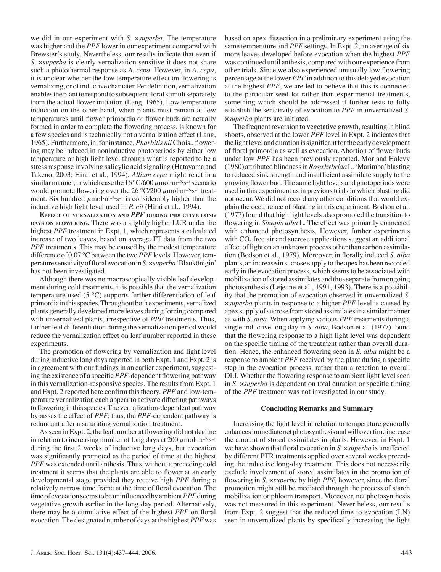we did in our experiment with *S*. ×*superba*. The temperature was higher and the *PPF* lower in our experiment compared with Brewster's study. Nevertheless, our results indicate that even if *S*. ×*superba* is clearly vernalization-sensitive it does not share such a photothermal response as *A. cepa*. However, in *A. cepa*, it is unclear whether the low temperature effect on flowering is vernalizing, or of inductive character. Per definition, vernalization enables the plant to respond to subsequent floral stimuli separately from the actual flower initiation (Lang, 1965). Low temperature induction on the other hand, when plants must remain at low temperatures until flower primordia or flower buds are actually formed in order to complete the flowering process, is known for a few species and is technically not a vernalization effect (Lang, 1965). Furthermore, in, for instance, *Pharbitis nil* Chois., flowering may be induced in noninductive photoperiods by either low temperature or high light level through what is reported to be a stress response involving salicylic acid signaling (Hatayama and Takeno, 2003; Hirai et al., 1994). *Allium cepa* might react in a similar manner, in which case the 16 °C/600 *μ*mol·m–2·s–1 scenario would promote flowering over the 26 °C/200 *μ*mol·m<sup>-2</sup>·s<sup>-1</sup> treatment. Six hundred  $\mu$ mol·m<sup>-2</sup>·s<sup>-1</sup> is considerably higher than the inductive high light level used in *P. nil* (Hirai et al., 1994).

**EFFECT OF VERNALIZATION AND** *PPF* **DURING INDUCTIVE LONG DAYS ON FLOWERING.** There was a slightly higher LUR under the highest *PPF* treatment in Expt. 1, which represents a calculated increase of two leaves, based on average FT data from the two *PPF* treatments. This may be caused by the modest temperature difference of 0.07 °C between the two *PPF* levels. However, temperature sensitivity of floral evocation in *S. × superba* 'Blaukönigin' has not been investigated.

Although there was no macroscopically visible leaf development during cold treatments, it is possible that the vernalization temperature used (5 °C) supports further differentiation of leaf primordia in this species. Throughout both experiments, vernalized plants generally developed more leaves during forcing compared with unvernalized plants, irrespective of *PPF* treatments. Thus, further leaf differentiation during the vernalization period would reduce the vernalization effect on leaf number reported in these experiments.

The promotion of flowering by vernalization and light level during inductive long days reported in both Expt. 1 and Expt. 2 is in agreement with our findings in an earlier experiment, suggesting the existence of a specific *PPF*-dependent flowering pathway in this vernalization-responsive species. The results from Expt. 1 and Expt. 2 reported here confirm this theory. *PPF* and low-temperature vernalization each appear to activate differing pathways to flowering in this species. The vernalization-dependent pathway bypasses the effect of *PPF*; thus, the *PPF*-dependent pathway is redundant after a saturating vernalization treatment.

As seen in Expt. 2, the leaf number at flowering did not decline in relation to increasing number of long days at  $200 \mu$ mol·m<sup>-2</sup>·s<sup>-1</sup> during the first 2 weeks of inductive long days, but evocation was significantly promoted as the period of time at the highest *PPF* was extended until anthesis. Thus, without a preceding cold treatment it seems that the plants are able to flower at an early developmental stage provided they receive high *PPF* during a relatively narrow time frame at the time of floral evocation. The time of evocation seems to be uninfluenced by ambient *PPF* during vegetative growth earlier in the long-day period. Alternatively, there may be a cumulative effect of the highest *PPF* on floral evocation. The designated number of days at the highest *PPF* was

based on apex dissection in a preliminary experiment using the same temperature and *PPF* settings. In Expt. 2, an average of six more leaves developed before evocation when the highest *PPF* was continued until anthesis, compared with our experience from other trials. Since we also experienced unusually low flowering percentage at the lower *PPF* in addition to this delayed evocation at the highest *PPF*, we are led to believe that this is connected to the particular seed lot rather than experimental treatments, something which should be addressed if further tests to fully establish the sensitivity of evocation to *PPF* in unvernalized *S.*  ×*superba* plants are initiated.

The frequent reversion to vegetative growth, resulting in blind shoots, observed at the lower *PPF* level in Expt. 2 indicates that the light level and duration is significant for the early development of floral primordia as well as evocation. Abortion of flower buds under low *PPF* has been previously reported. Mor and Halevy (1980) attributed blindness in *Rosa hybrida* L. 'Marimba' blasting to reduced sink strength and insufficient assimilate supply to the growing flower bud. The same light levels and photoperiods were used in this experiment as in previous trials in which blasting did not occur. We did not record any other conditions that would explain the occurrence of blasting in this experiment. Bodson et al. (1977) found that high light levels also promoted the transition to flowering in *Sinapis alba* L. The effect was primarily connected with enhanced photosynthesis. However, further experiments with CO<sub>2</sub> free air and sucrose applications suggest an additional effect of light on an unknown process other than carbon assimilation (Bodson et al., 1979). Moreover, in florally induced *S. alba* plants, an increase in sucrose supply to the apex has been recorded early in the evocation process, which seems to be associated with mobilization of stored assimilates and thus separate from ongoing photosynthesis (Lejeune et al., 1991, 1993). There is a possibility that the promotion of evocation observed in unvernalized *S*. ×*superba* plants in response to a higher *PPF* level is caused by apex supply of sucrose from stored assimilates in a similar manner as with *S. alba*. When applying various *PPF* treatments during a single inductive long day in *S. alba*, Bodson et al. (1977) found that the flowering response to a high light level was dependent on the specific timing of the treatment rather than overall duration. Hence, the enhanced flowering seen in *S. alba* might be a response to ambient *PPF* received by the plant during a specific step in the evocation process, rather than a reaction to overall DLI. Whether the flowering response to ambient light level seen in *S. ×superba* is dependent on total duration or specific timing of the *PPF* treatment was not investigated in our study.

#### **Concluding Remarks and Summary**

Increasing the light level in relation to temperature generally enhances immediate net photosynthesis and will over time increase the amount of stored assimilates in plants. However, in Expt. 1 we have shown that floral evocation in *S.*  $x \rightarrow y$  *is unaffected* by different PTR treatments applied over several weeks preceding the inductive long-day treatment. This does not necessarily exclude involvement of stored assimilates in the promotion of flowering in *S. ×superba* by high *PPF*, however, since the floral promotion might still be mediated through the process of starch mobilization or phloem transport. Moreover, net photosynthesis was not measured in this experiment. Nevertheless, our results from Expt. 2 suggest that the reduced time to evocation (LN) seen in unvernalized plants by specifically increasing the light